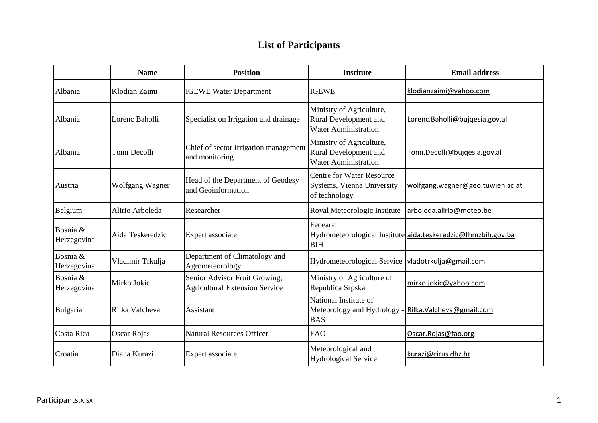## **List of Participants**

|                         | <b>Name</b>            | <b>Position</b>                                                        | <b>Institute</b>                                                                 | <b>Email address</b>                                          |
|-------------------------|------------------------|------------------------------------------------------------------------|----------------------------------------------------------------------------------|---------------------------------------------------------------|
| Albania                 | Klodian Zaimi          | <b>IGEWE Water Department</b>                                          | <b>IGEWE</b>                                                                     | klodianzaimi@yahoo.com                                        |
| Albania                 | Lorenc Baholli         | Specialist on Irrigation and drainage                                  | Ministry of Agriculture,<br>Rural Development and<br><b>Water Administration</b> | Lorenc. Baholli@bujqesia.gov.al                               |
| Albania                 | Tomi Decolli           | Chief of sector Irrigation management<br>and monitoring                | Ministry of Agriculture,<br>Rural Development and<br><b>Water Administration</b> | Tomi.Decolli@bujqesia.gov.al                                  |
| Austria                 | <b>Wolfgang Wagner</b> | Head of the Department of Geodesy<br>and Geoinformation                | <b>Centre for Water Resource</b><br>Systems, Vienna University<br>of technology  | wolfgang.wagner@geo.tuwien.ac.at                              |
| Belgium                 | Alirio Arboleda        | Researcher                                                             | Royal Meteorologic Institute                                                     | arboleda.alirio@meteo.be                                      |
| Bosnia &<br>Herzegovina | Aida Teskeredzic       | Expert associate                                                       | Fedearal<br><b>BIH</b>                                                           | Hydrometeorological Institute aida.teskeredzic@fhmzbih.gov.ba |
| Bosnia &<br>Herzegovina | Vladimir Trkulja       | Department of Climatology and<br>Agrometeorology                       | Hydrometeorological Service  vladotrkulja@gmail.com                              |                                                               |
| Bosnia &<br>Herzegovina | Mirko Jokic            | Senior Advisor Fruit Growing,<br><b>Agricultural Extension Service</b> | Ministry of Agriculture of<br>Republica Srpska                                   | mirko.jokic@yahoo.com                                         |
| Bulgaria                | Rilka Valcheva         | Assistant                                                              | National Institute of<br>Meteorology and Hydrology<br><b>BAS</b>                 | Rilka. Valcheva@gmail.com                                     |
| Costa Rica              | Oscar Rojas            | <b>Natural Resources Officer</b>                                       | <b>FAO</b>                                                                       | Oscar.Rojas@fao.org                                           |
| Croatia                 | Diana Kurazi           | Expert associate                                                       | Meteorological and<br><b>Hydrological Service</b>                                | kurazi@cirus.dhz.hr                                           |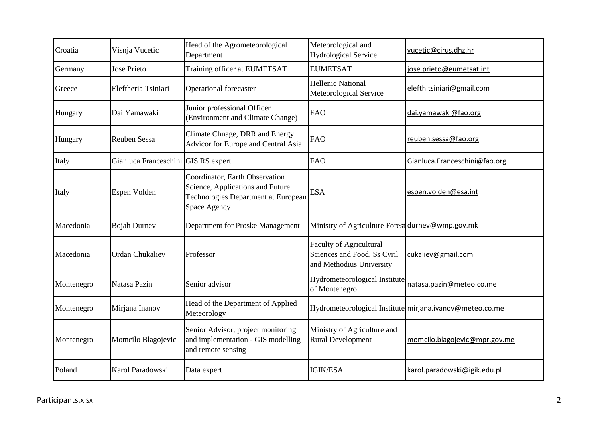| Croatia    | Visnja Vucetic                      | Head of the Agrometeorological<br>Department                                                                              | Meteorological and<br><b>Hydrological Service</b>                                         | vucetic@cirus.dhz.hr                                     |
|------------|-------------------------------------|---------------------------------------------------------------------------------------------------------------------------|-------------------------------------------------------------------------------------------|----------------------------------------------------------|
| Germany    | <b>Jose Prieto</b>                  | Training officer at EUMETSAT                                                                                              | <b>EUMETSAT</b>                                                                           | jose.prieto@eumetsat.int                                 |
| Greece     | Eleftheria Tsiniari                 | Operational forecaster                                                                                                    | <b>Hellenic National</b><br>Meteorological Service                                        | elefth.tsiniari@gmail.com                                |
| Hungary    | Dai Yamawaki                        | Junior professional Officer<br>(Environment and Climate Change)                                                           | <b>FAO</b>                                                                                | dai.yamawaki@fao.org                                     |
| Hungary    | <b>Reuben Sessa</b>                 | Climate Chnage, DRR and Energy<br>Advicor for Europe and Central Asia                                                     | <b>FAO</b>                                                                                | reuben.sessa@fao.org                                     |
| Italy      | Gianluca Franceschini GIS RS expert |                                                                                                                           | <b>FAO</b>                                                                                | Gianluca.Franceschini@fao.org                            |
| Italy      | Espen Volden                        | Coordinator, Earth Observation<br>Science, Applications and Future<br>Technologies Department at European<br>Space Agency | <b>ESA</b>                                                                                | espen.volden@esa.int                                     |
| Macedonia  | <b>Bojah Durney</b>                 | Department for Proske Management                                                                                          | Ministry of Agriculture Forest durnev@wmp.gov.mk                                          |                                                          |
| Macedonia  | <b>Ordan Chukaliev</b>              | Professor                                                                                                                 | <b>Faculty of Agricultural</b><br>Sciences and Food, Ss Cyril<br>and Methodius University | cukaliev@gmail.com                                       |
| Montenegro | Natasa Pazin                        | Senior advisor                                                                                                            | Hydrometeorological Institute<br>of Montenegro                                            | natasa.pazin@meteo.co.me                                 |
| Montenegro | Mirjana Inanov                      | Head of the Department of Applied<br>Meteorology                                                                          |                                                                                           | Hydrometeorological Institute mirjana.ivanov@meteo.co.me |
| Montenegro | Momcilo Blagojevic                  | Senior Advisor, project monitoring<br>and implementation - GIS modelling<br>and remote sensing                            | Ministry of Agriculture and<br><b>Rural Development</b>                                   | momcilo.blagojevic@mpr.gov.me                            |
| Poland     | Karol Paradowski                    | Data expert                                                                                                               | <b>IGIK/ESA</b>                                                                           | karol.paradowski@igik.edu.pl                             |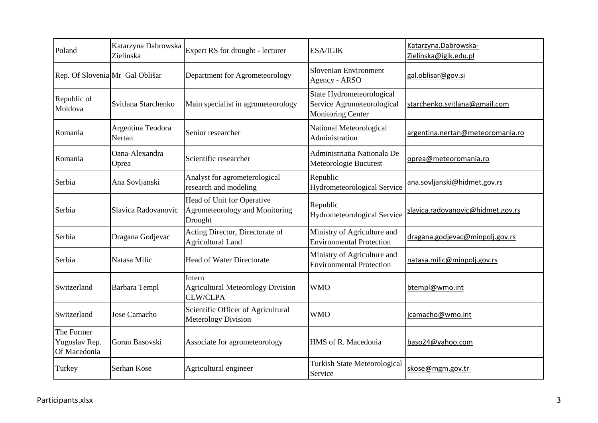| Poland                                      | Katarzyna Dabrowska<br>Zielinska | Expert RS for drought - lecturer                                        | <b>ESA/IGIK</b>                                                                     | Katarzyna.Dabrowska-<br>Zielinska@igik.edu.pl |
|---------------------------------------------|----------------------------------|-------------------------------------------------------------------------|-------------------------------------------------------------------------------------|-----------------------------------------------|
| Rep. Of Slovenia Mr Gal Oblišar             |                                  | Department for Agrometeorology                                          | Slovenian Environment<br>Agency - ARSO                                              | gal.oblisar@gov.si                            |
| Republic of<br>Moldova                      | Svitlana Starchenko              | Main specialist in agrometeorology                                      | State Hydrometeorological<br>Service Agrometeorological<br><b>Monitoring Center</b> | starchenko.svitlana@gmail.com                 |
| Romania                                     | Argentina Teodora<br>Nertan      | Senior researcher                                                       | National Meteorological<br>Administration                                           | argentina.nertan@meteoromania.ro              |
| Romania                                     | Oana-Alexandra<br>Oprea          | Scientific researcher                                                   | Administriatia Nationala De<br>Meteorologie Bucurest                                | oprea@meteoromania.ro                         |
| Serbia                                      | Ana Sovljanski                   | Analyst for agrometerological<br>research and modeling                  | Republic<br>Hydrometeorological Service                                             | ana.sovljanski@hidmet.gov.rs                  |
| Serbia                                      | Slavica Radovanovic              | Head of Unit for Operative<br>Agrometeorology and Monitoring<br>Drought | Republic<br>Hydrometeorological Service                                             | slavica.radovanovic@hidmet.gov.rs             |
| Serbia                                      | Dragana Godjevac                 | Acting Director, Directorate of<br><b>Agricultural Land</b>             | Ministry of Agriculture and<br><b>Environmental Protection</b>                      | dragana.godjevac@minpolj.gov.rs               |
| Serbia                                      | Natasa Milic                     | <b>Head of Water Directorate</b>                                        | Ministry of Agriculture and<br><b>Environmental Protection</b>                      | natasa.milic@minpolj.gov.rs                   |
| Switzerland                                 | <b>Barbara Templ</b>             | Intern<br><b>Agricultural Meteorology Division</b><br><b>CLW/CLPA</b>   | <b>WMO</b>                                                                          | btempl@wmo.int                                |
| Switzerland                                 | Jose Camacho                     | Scientific Officer of Agricultural<br><b>Meterology Division</b>        | <b>WMO</b>                                                                          | jcamacho@wmo.int                              |
| The Former<br>Yugoslav Rep.<br>Of Macedonia | Goran Basovski                   | Associate for agrometeorology                                           | HMS of R. Macedonia                                                                 | baso24@yahoo.com                              |
| Turkey                                      | Serhan Kose                      | Agricultural engineer                                                   | <b>Turkish State Meteorological</b><br>Service                                      | skose@mgm.gov.tr                              |